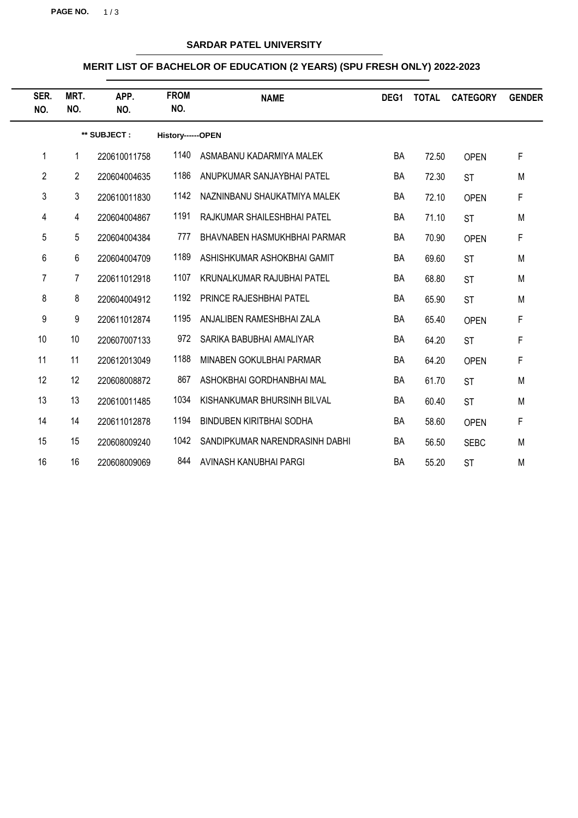**PAGE NO.** 1/3

# **SARDAR PATEL UNIVERSITY**

## **MERIT LIST OF BACHELOR OF EDUCATION (2 YEARS) (SPU FRESH ONLY) 2022-2023**

| SER.<br>NO.    | MRT.<br>NO.    | APP.<br>NO.  | <b>FROM</b><br>NO. | <b>NAME</b>                     | DEG1 | <b>TOTAL</b> | <b>CATEGORY</b> | <b>GENDER</b> |
|----------------|----------------|--------------|--------------------|---------------------------------|------|--------------|-----------------|---------------|
|                |                | ** SUBJECT : | History------OPEN  |                                 |      |              |                 |               |
| $\mathbf{1}$   | $\mathbf{1}$   | 220610011758 | 1140               | ASMABANU KADARMIYA MALEK        | BA   | 72.50        | <b>OPEN</b>     | F             |
| $\overline{2}$ | $\overline{2}$ | 220604004635 | 1186               | ANUPKUMAR SANJAYBHAI PATEL      | BA   | 72.30        | <b>ST</b>       | M             |
| 3              | 3              | 220610011830 | 1142               | NAZNINBANU SHAUKATMIYA MALEK    | BA   | 72.10        | <b>OPEN</b>     | F             |
| 4              | 4              | 220604004867 | 1191               | RAJKUMAR SHAILESHBHAI PATEL     | BA   | 71.10        | <b>ST</b>       | M             |
| 5              | 5              | 220604004384 | 777                | BHAVNABEN HASMUKHBHAI PARMAR    | BA   | 70.90        | <b>OPEN</b>     | F             |
| 6              | 6              | 220604004709 | 1189               | ASHISHKUMAR ASHOKBHAI GAMIT     | BA   | 69.60        | <b>ST</b>       | M             |
| $\overline{7}$ | $\overline{7}$ | 220611012918 | 1107               | KRUNALKUMAR RAJUBHAI PATEL      | BA   | 68.80        | <b>ST</b>       | M             |
| 8              | 8              | 220604004912 | 1192               | PRINCE RAJESHBHAI PATEL         | BA   | 65.90        | <b>ST</b>       | M             |
| 9              | 9              | 220611012874 | 1195               | ANJALIBEN RAMESHBHAI ZALA       | BA   | 65.40        | <b>OPEN</b>     | F             |
| 10             | 10             | 220607007133 | 972                | SARIKA BABUBHAI AMALIYAR        | BA   | 64.20        | <b>ST</b>       | F             |
| 11             | 11             | 220612013049 | 1188               | MINABEN GOKULBHAI PARMAR        | BA   | 64.20        | <b>OPEN</b>     | F             |
| 12             | 12             | 220608008872 | 867                | ASHOKBHAI GORDHANBHAI MAL       | BA   | 61.70        | <b>ST</b>       | M             |
| 13             | 13             | 220610011485 | 1034               | KISHANKUMAR BHURSINH BILVAL     | BA   | 60.40        | <b>ST</b>       | M             |
| 14             | 14             | 220611012878 | 1194               | <b>BINDUBEN KIRITBHAI SODHA</b> | BA   | 58.60        | <b>OPEN</b>     | F             |
| 15             | 15             | 220608009240 | 1042               | SANDIPKUMAR NARENDRASINH DABHI  | BA   | 56.50        | <b>SEBC</b>     | M             |
| 16             | 16             | 220608009069 | 844                | AVINASH KANUBHAI PARGI          | BA   | 55.20        | <b>ST</b>       | M             |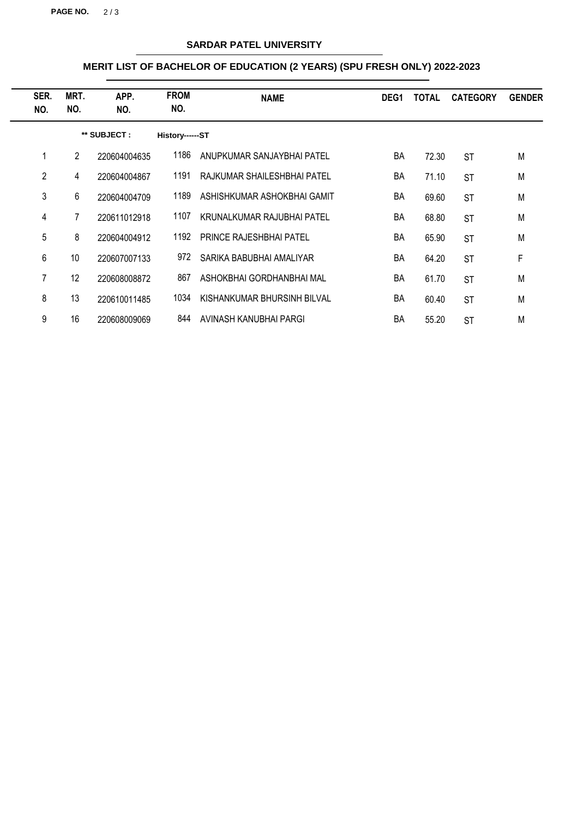**PAGE NO.** 2 / 3

# **SARDAR PATEL UNIVERSITY**

## **MERIT LIST OF BACHELOR OF EDUCATION (2 YEARS) (SPU FRESH ONLY) 2022-2023**

| SER.<br>NO.     | MRT.<br>NO. | APP.<br>NO.  | <b>FROM</b><br>NO. | <b>NAME</b>                 | DEG <sub>1</sub> | <b>TOTAL</b> | <b>CATEGORY</b> | <b>GENDER</b> |
|-----------------|-------------|--------------|--------------------|-----------------------------|------------------|--------------|-----------------|---------------|
|                 |             | ** SUBJECT : | History------ST    |                             |                  |              |                 |               |
| $\mathbf 1$     | 2           | 220604004635 | 1186               | ANUPKUMAR SANJAYBHAI PATEL  | BA               | 72.30        | <b>ST</b>       | M             |
| 2               | 4           | 220604004867 | 1191               | RAJKUMAR SHAILESHBHAI PATEL | BA               | 71.10        | <b>ST</b>       | M             |
| 3               | 6           | 220604004709 | 1189               | ASHISHKUMAR ASHOKBHAI GAMIT | BA               | 69.60        | <b>ST</b>       | M             |
| 4               | 7           | 220611012918 | 1107               | KRUNALKUMAR RAJUBHAI PATEL  | BA               | 68.80        | <b>ST</b>       | M             |
| $5\overline{)}$ | 8           | 220604004912 | 1192               | PRINCE RAJESHBHAI PATEL     | BA               | 65.90        | <b>ST</b>       | M             |
| 6               | 10          | 220607007133 | 972                | SARIKA BABUBHAI AMALIYAR    | BA               | 64.20        | <b>ST</b>       | F             |
| $\overline{7}$  | 12          | 220608008872 | 867                | ASHOKBHAI GORDHANBHAI MAL   | BA               | 61.70        | <b>ST</b>       | M             |
| 8               | 13          | 220610011485 | 1034               | KISHANKUMAR BHURSINH BILVAL | BA               | 60.40        | <b>ST</b>       | M             |
| 9               | 16          | 220608009069 | 844                | AVINASH KANUBHAI PARGI      | BA               | 55.20        | <b>ST</b>       | M             |